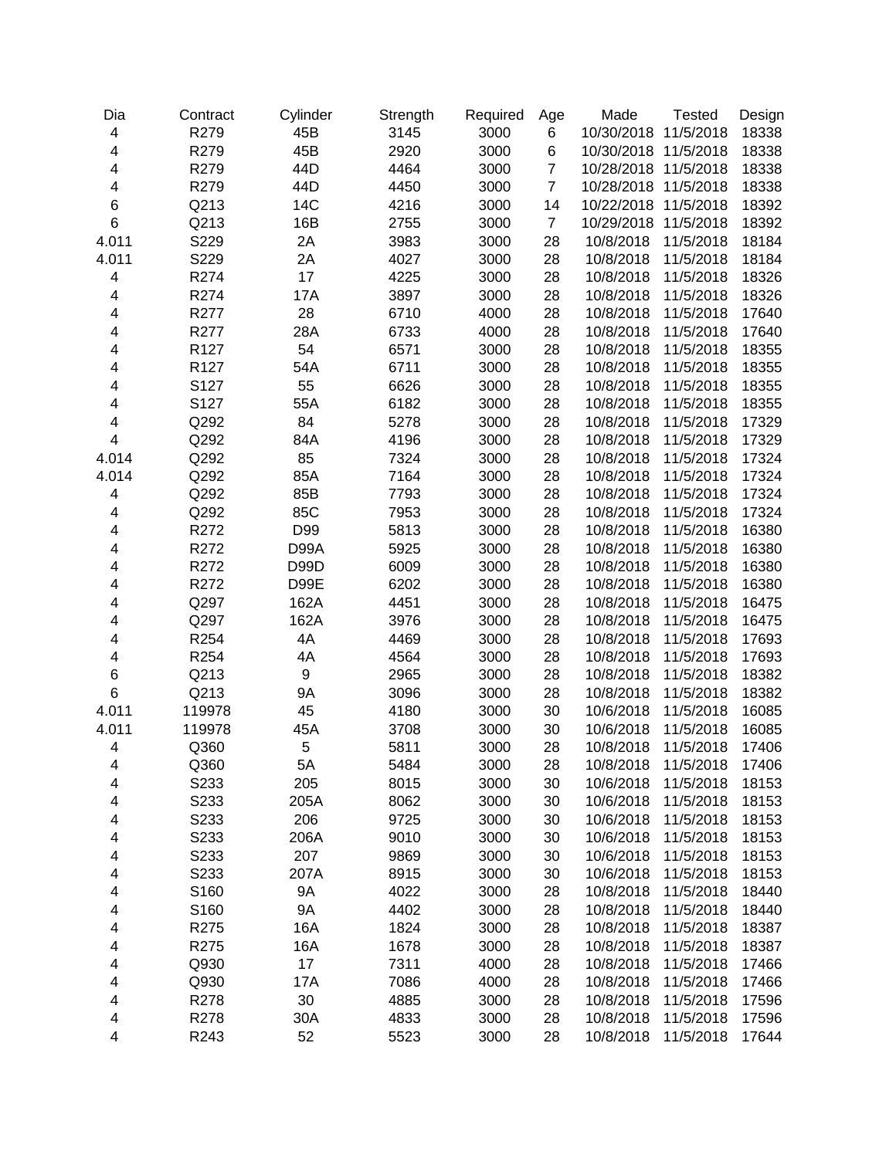| Dia                      | Contract         | Cylinder  | Strength | Required | Age            | Made                 | <b>Tested</b> | Design |
|--------------------------|------------------|-----------|----------|----------|----------------|----------------------|---------------|--------|
| $\overline{\mathbf{4}}$  | R279             | 45B       | 3145     | 3000     | 6              | 10/30/2018           | 11/5/2018     | 18338  |
| 4                        | R279             | 45B       | 2920     | 3000     | 6              | 10/30/2018 11/5/2018 |               | 18338  |
| $\overline{\mathbf{4}}$  | R279             | 44D       | 4464     | 3000     | $\overline{7}$ | 10/28/2018 11/5/2018 |               | 18338  |
| $\overline{\mathbf{4}}$  | R279             | 44D       | 4450     | 3000     | $\overline{7}$ | 10/28/2018           | 11/5/2018     | 18338  |
| $\boldsymbol{6}$         | Q213             | 14C       | 4216     | 3000     | 14             | 10/22/2018           | 11/5/2018     | 18392  |
| $\,6$                    | Q213             | 16B       | 2755     | 3000     | $\overline{7}$ | 10/29/2018           | 11/5/2018     | 18392  |
| 4.011                    | S229             | 2A        | 3983     | 3000     | 28             | 10/8/2018            | 11/5/2018     | 18184  |
| 4.011                    | S229             | 2A        | 4027     | 3000     | 28             | 10/8/2018            | 11/5/2018     | 18184  |
| 4                        | R274             | 17        | 4225     | 3000     | 28             | 10/8/2018            | 11/5/2018     | 18326  |
| 4                        | R274             | 17A       | 3897     | 3000     | 28             | 10/8/2018            | 11/5/2018     | 18326  |
| 4                        | R277             | 28        | 6710     | 4000     | 28             | 10/8/2018            | 11/5/2018     | 17640  |
| 4                        | R277             | 28A       | 6733     | 4000     | 28             | 10/8/2018            | 11/5/2018     | 17640  |
| 4                        | R <sub>127</sub> | 54        | 6571     | 3000     | 28             | 10/8/2018            | 11/5/2018     | 18355  |
| 4                        | R <sub>127</sub> | 54A       | 6711     | 3000     | 28             | 10/8/2018            | 11/5/2018     | 18355  |
| 4                        | S127             | 55        | 6626     | 3000     | 28             | 10/8/2018            | 11/5/2018     | 18355  |
| 4                        | S127             | 55A       | 6182     | 3000     | 28             | 10/8/2018            | 11/5/2018     | 18355  |
| 4                        | Q292             | 84        | 5278     | 3000     | 28             | 10/8/2018            | 11/5/2018     | 17329  |
| $\overline{\mathbf{4}}$  | Q292             | 84A       | 4196     | 3000     | 28             | 10/8/2018            | 11/5/2018     | 17329  |
| 4.014                    | Q292             | 85        | 7324     | 3000     | 28             | 10/8/2018            | 11/5/2018     | 17324  |
| 4.014                    | Q292             | 85A       | 7164     | 3000     | 28             | 10/8/2018            | 11/5/2018     | 17324  |
| $\overline{\mathcal{A}}$ | Q292             | 85B       | 7793     | 3000     | 28             | 10/8/2018            | 11/5/2018     | 17324  |
| 4                        | Q292             | 85C       | 7953     | 3000     | 28             | 10/8/2018            | 11/5/2018     | 17324  |
| 4                        | R272             | D99       | 5813     | 3000     | 28             | 10/8/2018            | 11/5/2018     | 16380  |
| 4                        | R272             | D99A      | 5925     | 3000     | 28             | 10/8/2018            | 11/5/2018     | 16380  |
| 4                        | R272             | D99D      | 6009     | 3000     | 28             | 10/8/2018            | 11/5/2018     | 16380  |
| 4                        | R272             | D99E      | 6202     | 3000     | 28             | 10/8/2018            | 11/5/2018     | 16380  |
| 4                        | Q297             | 162A      | 4451     | 3000     | 28             | 10/8/2018            | 11/5/2018     | 16475  |
| 4                        | Q297             | 162A      | 3976     | 3000     | 28             | 10/8/2018            | 11/5/2018     | 16475  |
| 4                        | R254             | 4A        | 4469     | 3000     | 28             | 10/8/2018            | 11/5/2018     | 17693  |
| 4                        | R254             | 4A        | 4564     | 3000     | 28             | 10/8/2018            | 11/5/2018     | 17693  |
| 6                        | Q213             | 9         | 2965     | 3000     | 28             | 10/8/2018            | 11/5/2018     | 18382  |
| $\,6$                    | Q213             | 9Α        | 3096     | 3000     | 28             | 10/8/2018            | 11/5/2018     | 18382  |
| 4.011                    | 119978           | 45        | 4180     | 3000     | 30             | 10/6/2018            | 11/5/2018     | 16085  |
| 4.011                    | 119978           | 45A       | 3708     | 3000     | 30             | 10/6/2018            | 11/5/2018     | 16085  |
| $\overline{\mathbf{4}}$  | Q360             | 5         | 5811     | 3000     | 28             | 10/8/2018            | 11/5/2018     | 17406  |
| 4                        | Q360             | 5A        | 5484     | 3000     | 28             | 10/8/2018            | 11/5/2018     | 17406  |
| $\overline{\mathcal{A}}$ | S233             | 205       | 8015     | 3000     | 30             | 10/6/2018            | 11/5/2018     | 18153  |
| 4                        | S233             | 205A      | 8062     | 3000     | 30             | 10/6/2018            | 11/5/2018     | 18153  |
| 4                        | S233             | 206       | 9725     | 3000     | 30             | 10/6/2018            | 11/5/2018     | 18153  |
| 4                        | S233             | 206A      | 9010     | 3000     | 30             | 10/6/2018            | 11/5/2018     | 18153  |
| 4                        | S233             | 207       | 9869     | 3000     | 30             | 10/6/2018            | 11/5/2018     | 18153  |
| 4                        | S233             | 207A      | 8915     | 3000     | 30             | 10/6/2018            | 11/5/2018     | 18153  |
| 4                        | S160             | <b>9A</b> | 4022     | 3000     | 28             | 10/8/2018            | 11/5/2018     | 18440  |
| 4                        | S160             | 9Α        | 4402     | 3000     | 28             | 10/8/2018            | 11/5/2018     | 18440  |
| 4                        | R275             | 16A       | 1824     | 3000     | 28             | 10/8/2018            | 11/5/2018     | 18387  |
| 4                        | R275             | 16A       | 1678     | 3000     | 28             | 10/8/2018            | 11/5/2018     | 18387  |
| 4                        | Q930             | 17        | 7311     | 4000     | 28             | 10/8/2018            | 11/5/2018     | 17466  |
| 4                        | Q930             | 17A       | 7086     | 4000     | 28             | 10/8/2018            | 11/5/2018     | 17466  |
| 4                        | R278             | 30        | 4885     | 3000     | 28             | 10/8/2018            | 11/5/2018     | 17596  |
| $\overline{\mathcal{A}}$ | R278             | 30A       | 4833     | 3000     | 28             | 10/8/2018            | 11/5/2018     | 17596  |
| $\overline{\mathbf{4}}$  | R243             | 52        | 5523     | 3000     | 28             | 10/8/2018            | 11/5/2018     | 17644  |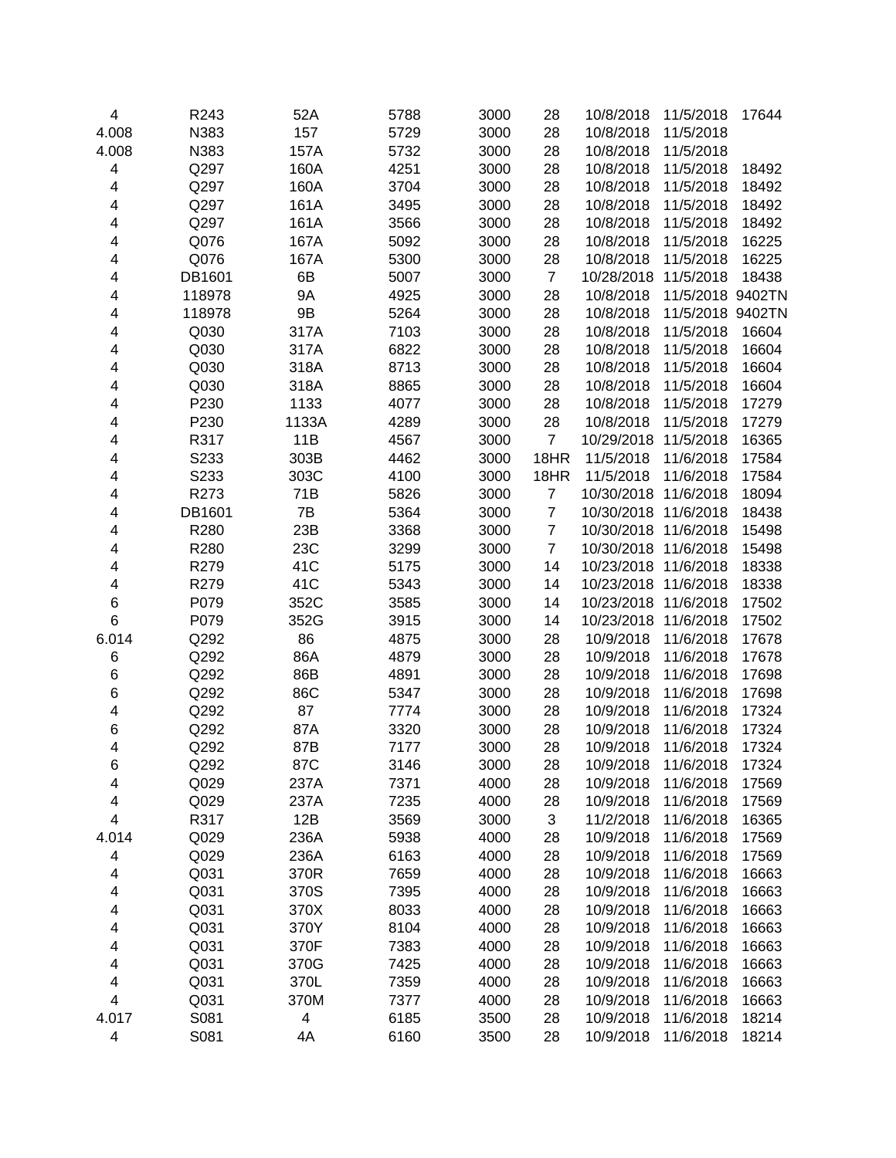| 4      | R243   | 52A         | 5788         | 3000         | 28             | 10/8/2018  | 11/5/2018        | 17644 |
|--------|--------|-------------|--------------|--------------|----------------|------------|------------------|-------|
| 4.008  | N383   | 157         | 5729         | 3000         | 28             | 10/8/2018  | 11/5/2018        |       |
| 4.008  | N383   | 157A        | 5732         | 3000         | 28             | 10/8/2018  | 11/5/2018        |       |
| 4      | Q297   | 160A        | 4251         | 3000         | 28             | 10/8/2018  | 11/5/2018        | 18492 |
| 4      | Q297   | 160A        | 3704         | 3000         | 28             | 10/8/2018  | 11/5/2018        | 18492 |
| 4      | Q297   | 161A        | 3495         | 3000         | 28             | 10/8/2018  | 11/5/2018        | 18492 |
| 4      | Q297   | 161A        | 3566         | 3000         | 28             | 10/8/2018  | 11/5/2018        | 18492 |
| 4      | Q076   | 167A        | 5092         | 3000         | 28             | 10/8/2018  | 11/5/2018        | 16225 |
| 4      | Q076   | 167A        | 5300         | 3000         | 28             | 10/8/2018  | 11/5/2018        | 16225 |
| 4      | DB1601 | 6B          | 5007         | 3000         | $\overline{7}$ | 10/28/2018 | 11/5/2018        | 18438 |
| 4      | 118978 | <b>9A</b>   | 4925         | 3000         | 28             | 10/8/2018  | 11/5/2018 9402TN |       |
| 4      | 118978 | 9B          | 5264         | 3000         | 28             | 10/8/2018  | 11/5/2018 9402TN |       |
| 4      | Q030   | 317A        | 7103         | 3000         | 28             | 10/8/2018  | 11/5/2018        | 16604 |
| 4      | Q030   | 317A        | 6822         | 3000         | 28             | 10/8/2018  | 11/5/2018        | 16604 |
| 4      | Q030   | 318A        | 8713         | 3000         | 28             | 10/8/2018  | 11/5/2018        | 16604 |
| 4      | Q030   | 318A        | 8865         | 3000         | 28             | 10/8/2018  | 11/5/2018        | 16604 |
| 4      | P230   | 1133        | 4077         | 3000         | 28             | 10/8/2018  | 11/5/2018        | 17279 |
| 4      | P230   | 1133A       | 4289         | 3000         | 28             | 10/8/2018  | 11/5/2018        | 17279 |
| 4      | R317   | 11B         | 4567         | 3000         | $\overline{7}$ | 10/29/2018 | 11/5/2018        | 16365 |
| 4      | S233   | 303B        | 4462         | 3000         | 18HR           | 11/5/2018  | 11/6/2018        | 17584 |
| 4      | S233   | 303C        | 4100         | 3000         | 18HR           | 11/5/2018  | 11/6/2018        | 17584 |
| 4      | R273   | 71B         | 5826         | 3000         | $\overline{7}$ | 10/30/2018 | 11/6/2018        | 18094 |
| 4      | DB1601 | 7B          | 5364         | 3000         | $\overline{7}$ | 10/30/2018 | 11/6/2018        | 18438 |
| 4      | R280   | 23B         | 3368         | 3000         | $\overline{7}$ | 10/30/2018 | 11/6/2018        | 15498 |
| 4      | R280   | 23C         | 3299         | 3000         | $\overline{7}$ | 10/30/2018 | 11/6/2018        | 15498 |
| 4      | R279   | 41C         | 5175         | 3000         | 14             | 10/23/2018 | 11/6/2018        | 18338 |
| 4      | R279   | 41C         | 5343         | 3000         | 14             | 10/23/2018 | 11/6/2018        | 18338 |
| 6      | P079   | 352C        | 3585         | 3000         | 14             | 10/23/2018 | 11/6/2018        | 17502 |
| 6      | P079   | 352G        | 3915         | 3000         | 14             | 10/23/2018 | 11/6/2018        | 17502 |
| 6.014  | Q292   | 86          | 4875         | 3000         | 28             | 10/9/2018  | 11/6/2018        | 17678 |
| 6      | Q292   | 86A         | 4879         | 3000         | 28             | 10/9/2018  | 11/6/2018        | 17678 |
| 6      | Q292   | 86B         | 4891         | 3000         | 28             | 10/9/2018  | 11/6/2018        | 17698 |
| 6      | Q292   | 86C         | 5347         | 3000         | 28             | 10/9/2018  | 11/6/2018        | 17698 |
| 4      | Q292   | 87          | 7774         | 3000         | 28             | 10/9/2018  | 11/6/2018        | 17324 |
| 6      | Q292   | 87A         | 3320         | 3000         | 28             | 10/9/2018  | 11/6/2018        | 17324 |
| 4      | Q292   | 87B         | 7177         | 3000         | 28             | 10/9/2018  | 11/6/2018        | 17324 |
|        | Q292   |             |              |              |                | 10/9/2018  | 11/6/2018        | 17324 |
| 6<br>4 | Q029   | 87C<br>237A | 3146<br>7371 | 3000<br>4000 | 28<br>28       | 10/9/2018  | 11/6/2018        | 17569 |
| 4      | Q029   | 237A        | 7235         | 4000         | 28             | 10/9/2018  | 11/6/2018        | 17569 |
| 4      | R317   | 12B         | 3569         | 3000         | 3              | 11/2/2018  | 11/6/2018        | 16365 |
| 4.014  | Q029   | 236A        | 5938         | 4000         | 28             | 10/9/2018  | 11/6/2018        | 17569 |
| 4      | Q029   |             | 6163         | 4000         | 28             |            |                  |       |
|        |        | 236A        |              |              |                | 10/9/2018  | 11/6/2018        | 17569 |
| 4      | Q031   | 370R        | 7659         | 4000         | 28             | 10/9/2018  | 11/6/2018        | 16663 |
| 4      | Q031   | 370S        | 7395         | 4000         | 28             | 10/9/2018  | 11/6/2018        | 16663 |
| 4      | Q031   | 370X        | 8033         | 4000         | 28             | 10/9/2018  | 11/6/2018        | 16663 |
| 4      | Q031   | 370Y        | 8104         | 4000         | 28             | 10/9/2018  | 11/6/2018        | 16663 |
| 4      | Q031   | 370F        | 7383         | 4000         | 28             | 10/9/2018  | 11/6/2018        | 16663 |
| 4      | Q031   | 370G        | 7425         | 4000         | 28             | 10/9/2018  | 11/6/2018        | 16663 |
| 4      | Q031   | 370L        | 7359         | 4000         | 28             | 10/9/2018  | 11/6/2018        | 16663 |
| 4      | Q031   | 370M        | 7377         | 4000         | 28             | 10/9/2018  | 11/6/2018        | 16663 |
| 4.017  | S081   | 4           | 6185         | 3500         | 28             | 10/9/2018  | 11/6/2018        | 18214 |
| 4      | S081   | 4A          | 6160         | 3500         | 28             | 10/9/2018  | 11/6/2018        | 18214 |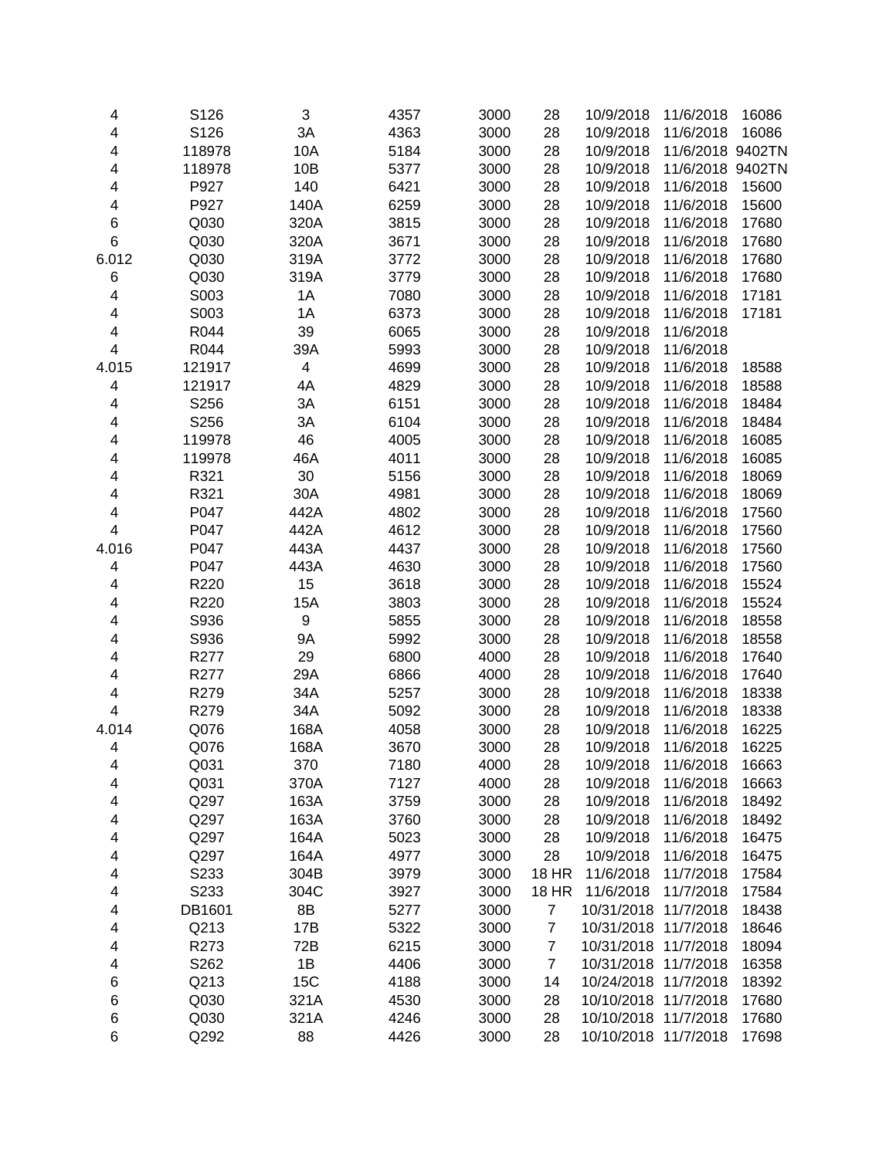| 4                       | S126   | 3         | 4357 | 3000 | 28             | 10/9/2018            | 11/6/2018        | 16086 |
|-------------------------|--------|-----------|------|------|----------------|----------------------|------------------|-------|
| 4                       | S126   | 3A        | 4363 | 3000 | 28             | 10/9/2018            | 11/6/2018        | 16086 |
| 4                       | 118978 | 10A       | 5184 | 3000 | 28             | 10/9/2018            | 11/6/2018 9402TN |       |
| 4                       | 118978 | 10B       | 5377 | 3000 | 28             | 10/9/2018            | 11/6/2018 9402TN |       |
| 4                       | P927   | 140       | 6421 | 3000 | 28             | 10/9/2018            | 11/6/2018        | 15600 |
| 4                       | P927   | 140A      | 6259 | 3000 | 28             | 10/9/2018            | 11/6/2018        | 15600 |
| 6                       | Q030   | 320A      | 3815 | 3000 | 28             | 10/9/2018            | 11/6/2018        | 17680 |
| 6                       | Q030   | 320A      | 3671 | 3000 | 28             | 10/9/2018            | 11/6/2018        | 17680 |
| 6.012                   | Q030   | 319A      | 3772 | 3000 | 28             | 10/9/2018            | 11/6/2018        | 17680 |
| 6                       | Q030   | 319A      | 3779 | 3000 | 28             | 10/9/2018            | 11/6/2018        | 17680 |
| 4                       | S003   | 1A        | 7080 | 3000 | 28             | 10/9/2018            | 11/6/2018        | 17181 |
| 4                       | S003   | 1A        | 6373 | 3000 | 28             | 10/9/2018            | 11/6/2018        | 17181 |
| 4                       | R044   | 39        | 6065 | 3000 | 28             | 10/9/2018            | 11/6/2018        |       |
| $\overline{\mathbf{4}}$ | R044   | 39A       | 5993 | 3000 | 28             | 10/9/2018            | 11/6/2018        |       |
| 4.015                   | 121917 | 4         | 4699 | 3000 | 28             | 10/9/2018            | 11/6/2018        | 18588 |
| 4                       | 121917 | 4A        | 4829 | 3000 | 28             | 10/9/2018            | 11/6/2018        | 18588 |
| 4                       | S256   | 3A        | 6151 | 3000 | 28             | 10/9/2018            | 11/6/2018        | 18484 |
| 4                       | S256   | 3A        | 6104 | 3000 | 28             | 10/9/2018            | 11/6/2018        | 18484 |
| 4                       | 119978 | 46        | 4005 | 3000 | 28             | 10/9/2018            | 11/6/2018        | 16085 |
| 4                       | 119978 | 46A       | 4011 | 3000 | 28             | 10/9/2018            | 11/6/2018        | 16085 |
| 4                       | R321   | 30        | 5156 | 3000 | 28             | 10/9/2018            | 11/6/2018        | 18069 |
| $\overline{\mathbf{4}}$ | R321   | 30A       | 4981 | 3000 | 28             | 10/9/2018            | 11/6/2018        | 18069 |
| 4                       | P047   | 442A      | 4802 | 3000 | 28             | 10/9/2018            | 11/6/2018        | 17560 |
| 4                       | P047   | 442A      | 4612 | 3000 | 28             | 10/9/2018            | 11/6/2018        | 17560 |
| 4.016                   | P047   | 443A      | 4437 | 3000 | 28             | 10/9/2018            | 11/6/2018        | 17560 |
| 4                       | P047   | 443A      | 4630 | 3000 | 28             | 10/9/2018            | 11/6/2018        | 17560 |
| 4                       | R220   | 15        | 3618 | 3000 | 28             | 10/9/2018            | 11/6/2018        | 15524 |
| 4                       | R220   | 15A       | 3803 | 3000 | 28             | 10/9/2018            | 11/6/2018        | 15524 |
| 4                       | S936   | 9         | 5855 | 3000 | 28             | 10/9/2018            | 11/6/2018        | 18558 |
| 4                       | S936   | <b>9A</b> | 5992 | 3000 | 28             | 10/9/2018            | 11/6/2018        | 18558 |
| 4                       | R277   | 29        | 6800 | 4000 | 28             | 10/9/2018            | 11/6/2018        | 17640 |
| 4                       | R277   | 29A       | 6866 | 4000 | 28             | 10/9/2018            | 11/6/2018        | 17640 |
| 4                       | R279   | 34A       | 5257 | 3000 | 28             | 10/9/2018            | 11/6/2018        | 18338 |
| $\overline{\mathbf{4}}$ | R279   | 34A       | 5092 | 3000 | 28             | 10/9/2018            | 11/6/2018        | 18338 |
| 4.014                   | Q076   | 168A      | 4058 | 3000 | 28             | 10/9/2018            | 11/6/2018        | 16225 |
| 4                       | Q076   | 168A      | 3670 | 3000 | 28             | 10/9/2018            | 11/6/2018        | 16225 |
| 4                       | Q031   | 370       | 7180 | 4000 | 28             | 10/9/2018            | 11/6/2018        | 16663 |
| 4                       | Q031   | 370A      | 7127 | 4000 | 28             | 10/9/2018            | 11/6/2018        | 16663 |
| 4                       | Q297   | 163A      | 3759 | 3000 | 28             | 10/9/2018            | 11/6/2018        | 18492 |
| 4                       | Q297   | 163A      | 3760 | 3000 | 28             | 10/9/2018            | 11/6/2018        | 18492 |
| 4                       | Q297   | 164A      | 5023 | 3000 | 28             | 10/9/2018            | 11/6/2018        | 16475 |
| 4                       | Q297   | 164A      | 4977 | 3000 | 28             | 10/9/2018            | 11/6/2018        | 16475 |
| 4                       | S233   | 304B      | 3979 | 3000 | <b>18 HR</b>   | 11/6/2018            | 11/7/2018        | 17584 |
| 4                       | S233   | 304C      | 3927 | 3000 | <b>18 HR</b>   | 11/6/2018            | 11/7/2018        | 17584 |
| 4                       | DB1601 | 8B        | 5277 | 3000 | $\overline{7}$ | 10/31/2018 11/7/2018 |                  | 18438 |
| 4                       | Q213   | 17B       | 5322 | 3000 | $\overline{7}$ | 10/31/2018 11/7/2018 |                  | 18646 |
| 4                       | R273   | 72B       | 6215 | 3000 | $\overline{7}$ | 10/31/2018 11/7/2018 |                  | 18094 |
| 4                       | S262   | 1B        | 4406 | 3000 | $\overline{7}$ | 10/31/2018 11/7/2018 |                  | 16358 |
| 6                       | Q213   | 15C       | 4188 | 3000 | 14             | 10/24/2018 11/7/2018 |                  | 18392 |
| 6                       | Q030   | 321A      | 4530 | 3000 | 28             | 10/10/2018 11/7/2018 |                  | 17680 |
| 6                       | Q030   | 321A      | 4246 | 3000 | 28             | 10/10/2018 11/7/2018 |                  | 17680 |
| 6                       | Q292   | 88        | 4426 | 3000 | 28             | 10/10/2018 11/7/2018 |                  | 17698 |
|                         |        |           |      |      |                |                      |                  |       |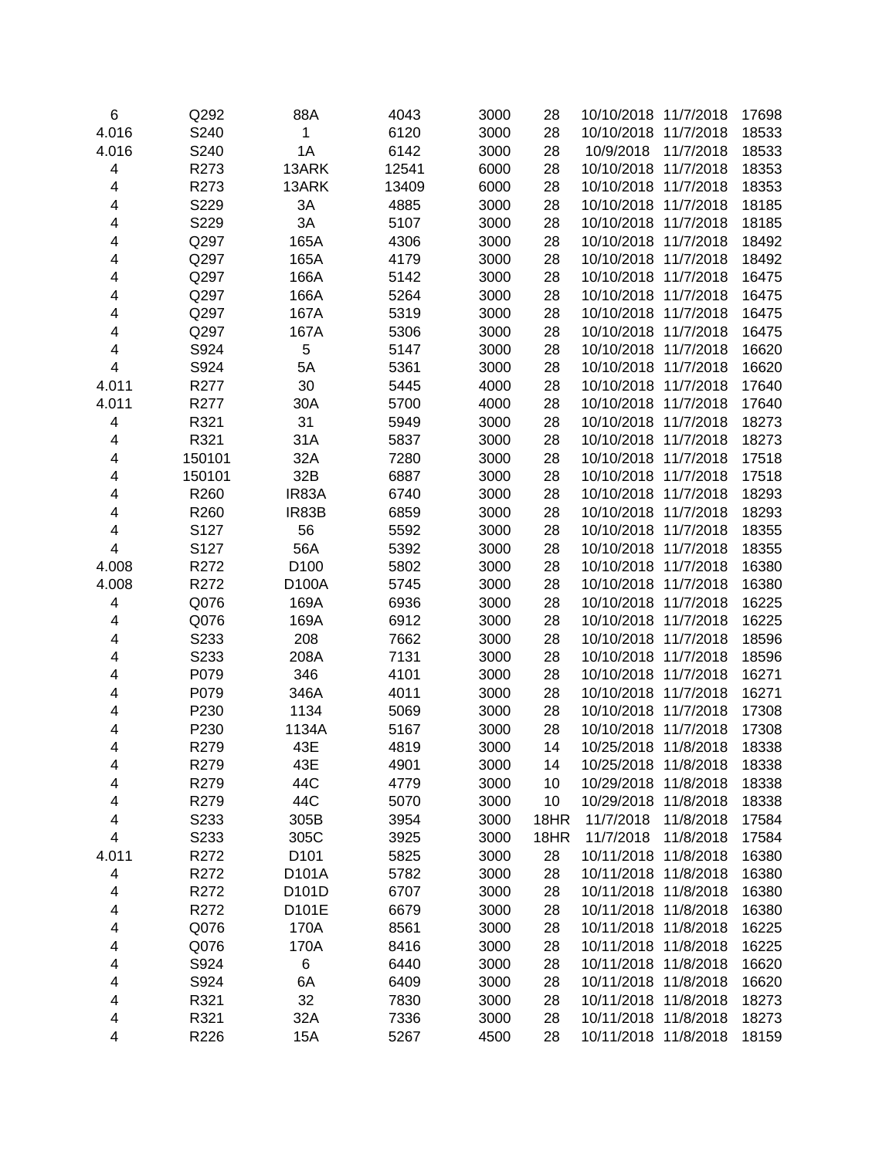| 6     | Q292   | 88A              | 4043  | 3000 | 28   | 10/10/2018 11/7/2018                         |           | 17698 |
|-------|--------|------------------|-------|------|------|----------------------------------------------|-----------|-------|
| 4.016 | S240   | 1                | 6120  | 3000 | 28   | 10/10/2018 11/7/2018                         |           | 18533 |
| 4.016 | S240   | 1A               | 6142  | 3000 | 28   | 10/9/2018                                    | 11/7/2018 | 18533 |
| 4     | R273   | 13ARK            | 12541 | 6000 | 28   | 10/10/2018 11/7/2018                         |           | 18353 |
| 4     | R273   | 13ARK            | 13409 | 6000 | 28   | 10/10/2018 11/7/2018                         |           | 18353 |
| 4     | S229   | 3A               | 4885  | 3000 | 28   | 10/10/2018 11/7/2018                         |           | 18185 |
| 4     | S229   | 3A               | 5107  | 3000 | 28   | 10/10/2018 11/7/2018                         |           | 18185 |
| 4     | Q297   | 165A             | 4306  | 3000 | 28   | 10/10/2018 11/7/2018                         |           | 18492 |
| 4     | Q297   | 165A             | 4179  | 3000 | 28   | 10/10/2018 11/7/2018                         |           | 18492 |
| 4     | Q297   | 166A             | 5142  | 3000 | 28   | 10/10/2018 11/7/2018                         |           | 16475 |
| 4     | Q297   | 166A             | 5264  | 3000 | 28   | 10/10/2018 11/7/2018                         |           | 16475 |
| 4     | Q297   | 167A             | 5319  | 3000 | 28   | 10/10/2018 11/7/2018                         |           | 16475 |
| 4     | Q297   | 167A             | 5306  | 3000 | 28   | 10/10/2018 11/7/2018                         |           | 16475 |
| 4     | S924   | 5                | 5147  | 3000 | 28   | 10/10/2018 11/7/2018                         |           | 16620 |
| 4     | S924   | 5A               | 5361  | 3000 | 28   | 10/10/2018 11/7/2018                         |           | 16620 |
| 4.011 | R277   | 30               | 5445  | 4000 | 28   | 10/10/2018 11/7/2018                         |           | 17640 |
| 4.011 | R277   | 30A              | 5700  | 4000 | 28   | 10/10/2018 11/7/2018                         |           | 17640 |
| 4     | R321   | 31               | 5949  | 3000 | 28   | 10/10/2018 11/7/2018                         |           | 18273 |
| 4     | R321   | 31A              | 5837  | 3000 | 28   | 10/10/2018 11/7/2018                         |           | 18273 |
| 4     | 150101 | 32A              | 7280  | 3000 | 28   | 10/10/2018 11/7/2018                         |           | 17518 |
| 4     | 150101 | 32B              | 6887  | 3000 | 28   | 10/10/2018 11/7/2018                         |           | 17518 |
| 4     | R260   | IR83A            | 6740  | 3000 | 28   | 10/10/2018 11/7/2018                         |           | 18293 |
| 4     | R260   | IR83B            | 6859  | 3000 | 28   | 10/10/2018                                   | 11/7/2018 | 18293 |
| 4     | S127   | 56               | 5592  | 3000 | 28   | 10/10/2018                                   | 11/7/2018 | 18355 |
| 4     | S127   | 56A              | 5392  | 3000 | 28   | 10/10/2018 11/7/2018                         |           | 18355 |
| 4.008 | R272   | D <sub>100</sub> | 5802  | 3000 | 28   | 10/10/2018 11/7/2018                         |           | 16380 |
| 4.008 | R272   | D100A            | 5745  | 3000 | 28   | 10/10/2018 11/7/2018                         |           | 16380 |
| 4     | Q076   | 169A             | 6936  | 3000 | 28   | 10/10/2018 11/7/2018                         |           | 16225 |
|       | Q076   | 169A             | 6912  | 3000 | 28   | 10/10/2018 11/7/2018                         |           | 16225 |
| 4     | S233   | 208              | 7662  | 3000 | 28   | 10/10/2018 11/7/2018                         |           | 18596 |
| 4     |        |                  |       |      | 28   |                                              |           |       |
| 4     | S233   | 208A             | 7131  | 3000 |      | 10/10/2018 11/7/2018<br>10/10/2018 11/7/2018 |           | 18596 |
| 4     | P079   | 346              | 4101  | 3000 | 28   | 10/10/2018 11/7/2018                         |           | 16271 |
| 4     | P079   | 346A             | 4011  | 3000 | 28   |                                              |           | 16271 |
| 4     | P230   | 1134             | 5069  | 3000 | 28   | 10/10/2018 11/7/2018                         |           | 17308 |
| 4     | P230   | 1134A            | 5167  | 3000 | 28   | 10/10/2018 11/7/2018                         |           | 17308 |
| 4     | R279   | 43E              | 4819  | 3000 | 14   | 10/25/2018 11/8/2018                         |           | 18338 |
| 4     | R279   | 43E              | 4901  | 3000 | 14   | 10/25/2018                                   | 11/8/2018 | 18338 |
| 4     | R279   | 44C              | 4779  | 3000 | 10   | 10/29/2018                                   | 11/8/2018 | 18338 |
| 4     | R279   | 44C              | 5070  | 3000 | 10   | 10/29/2018                                   | 11/8/2018 | 18338 |
| 4     | S233   | 305B             | 3954  | 3000 | 18HR | 11/7/2018                                    | 11/8/2018 | 17584 |
| 4     | S233   | 305C             | 3925  | 3000 | 18HR | 11/7/2018                                    | 11/8/2018 | 17584 |
| 4.011 | R272   | D <sub>101</sub> | 5825  | 3000 | 28   | 10/11/2018                                   | 11/8/2018 | 16380 |
| 4     | R272   | D101A            | 5782  | 3000 | 28   | 10/11/2018                                   | 11/8/2018 | 16380 |
| 4     | R272   | D101D            | 6707  | 3000 | 28   | 10/11/2018 11/8/2018                         |           | 16380 |
| 4     | R272   | D101E            | 6679  | 3000 | 28   | 10/11/2018 11/8/2018                         |           | 16380 |
| 4     | Q076   | 170A             | 8561  | 3000 | 28   | 10/11/2018 11/8/2018                         |           | 16225 |
| 4     | Q076   | 170A             | 8416  | 3000 | 28   | 10/11/2018 11/8/2018                         |           | 16225 |
| 4     | S924   | 6                | 6440  | 3000 | 28   | 10/11/2018 11/8/2018                         |           | 16620 |
| 4     | S924   | 6A               | 6409  | 3000 | 28   | 10/11/2018 11/8/2018                         |           | 16620 |
| 4     | R321   | 32               | 7830  | 3000 | 28   | 10/11/2018 11/8/2018                         |           | 18273 |
| 4     | R321   | 32A              | 7336  | 3000 | 28   | 10/11/2018 11/8/2018                         |           | 18273 |
| 4     | R226   | <b>15A</b>       | 5267  | 4500 | 28   | 10/11/2018 11/8/2018                         |           | 18159 |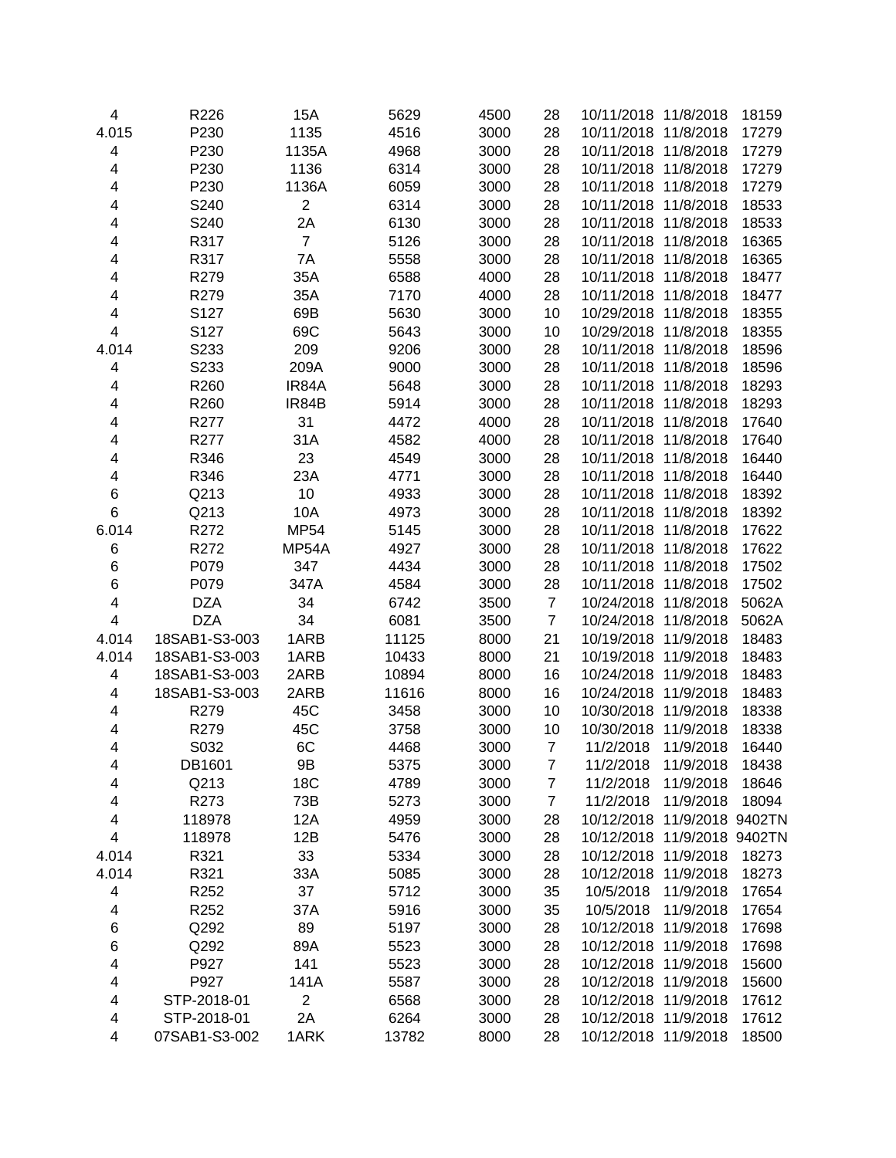| $\overline{\mathbf{4}}$      | R226          | 15A            | 5629         | 4500         | 28               | 10/11/2018 11/8/2018 |                  | 18159          |
|------------------------------|---------------|----------------|--------------|--------------|------------------|----------------------|------------------|----------------|
| 4.015                        | P230          | 1135           | 4516         | 3000         | 28               | 10/11/2018 11/8/2018 |                  | 17279          |
| 4                            | P230          | 1135A          | 4968         | 3000         | 28               | 10/11/2018 11/8/2018 |                  | 17279          |
| 4                            | P230          | 1136           | 6314         | 3000         | 28               | 10/11/2018 11/8/2018 |                  | 17279          |
| 4                            | P230          | 1136A          | 6059         | 3000         | 28               | 10/11/2018 11/8/2018 |                  | 17279          |
| 4                            | S240          | $\overline{c}$ | 6314         | 3000         | 28               | 10/11/2018 11/8/2018 |                  | 18533          |
| 4                            | S240          | 2A             | 6130         | 3000         | 28               | 10/11/2018 11/8/2018 |                  | 18533          |
| 4                            | R317          | $\overline{7}$ | 5126         | 3000         | 28               | 10/11/2018 11/8/2018 |                  | 16365          |
| 4                            | R317          | 7A             | 5558         | 3000         | 28               | 10/11/2018 11/8/2018 |                  | 16365          |
| 4                            | R279          | 35A            | 6588         | 4000         | 28               | 10/11/2018 11/8/2018 |                  | 18477          |
| 4                            | R279          | 35A            | 7170         | 4000         | 28               | 10/11/2018 11/8/2018 |                  | 18477          |
| 4                            | S127          | 69B            | 5630         | 3000         | 10               | 10/29/2018 11/8/2018 |                  | 18355          |
| 4                            | S127          | 69C            | 5643         | 3000         | 10               | 10/29/2018 11/8/2018 |                  | 18355          |
| 4.014                        | S233          | 209            | 9206         | 3000         | 28               | 10/11/2018 11/8/2018 |                  | 18596          |
| 4                            | S233          | 209A           | 9000         | 3000         | 28               | 10/11/2018 11/8/2018 |                  | 18596          |
| 4                            | R260          | IR84A          | 5648         | 3000         | 28               | 10/11/2018 11/8/2018 |                  | 18293          |
| 4                            | R260          | IR84B          | 5914         | 3000         | 28               | 10/11/2018 11/8/2018 |                  | 18293          |
| 4                            | R277          | 31             | 4472         | 4000         | 28               | 10/11/2018 11/8/2018 |                  | 17640          |
| 4                            | R277          | 31A            | 4582         | 4000         | 28               | 10/11/2018           | 11/8/2018        | 17640          |
| 4                            | R346          | 23             | 4549         | 3000         | 28               | 10/11/2018           | 11/8/2018        | 16440          |
| 4                            | R346          | 23A            | 4771         | 3000         | 28               | 10/11/2018 11/8/2018 |                  | 16440          |
| 6                            | Q213          | 10             | 4933         | 3000         | 28               | 10/11/2018           | 11/8/2018        | 18392          |
| 6                            | Q213          | 10A            | 4973         | 3000         | 28               | 10/11/2018           | 11/8/2018        | 18392          |
| 6.014                        | R272          | <b>MP54</b>    | 5145         | 3000         | 28               | 10/11/2018 11/8/2018 |                  | 17622          |
| 6                            | R272          | MP54A          | 4927         | 3000         | 28               | 10/11/2018 11/8/2018 |                  | 17622          |
| 6                            | P079          | 347            | 4434         | 3000         | 28               | 10/11/2018 11/8/2018 |                  | 17502          |
| 6                            | P079          | 347A           | 4584         | 3000         | 28               | 10/11/2018 11/8/2018 |                  | 17502          |
| 4                            | <b>DZA</b>    | 34             | 6742         | 3500         | $\overline{7}$   | 10/24/2018 11/8/2018 |                  | 5062A          |
| 4                            | <b>DZA</b>    | 34             | 6081         | 3500         | $\overline{7}$   | 10/24/2018 11/8/2018 |                  | 5062A          |
| 4.014                        | 18SAB1-S3-003 | 1ARB           | 11125        | 8000         | 21               | 10/19/2018 11/9/2018 |                  | 18483          |
| 4.014                        | 18SAB1-S3-003 | 1ARB           | 10433        | 8000         | 21               | 10/19/2018 11/9/2018 |                  | 18483          |
| 4                            | 18SAB1-S3-003 | 2ARB           | 10894        | 8000         | 16               | 10/24/2018 11/9/2018 |                  | 18483          |
| 4                            | 18SAB1-S3-003 | 2ARB           | 11616        | 8000         | 16               | 10/24/2018 11/9/2018 |                  | 18483          |
| 4                            | R279          | 45C            | 3458         | 3000         | 10               | 10/30/2018 11/9/2018 |                  | 18338          |
| 4                            | R279          | 45C            | 3758         | 3000         | 10               | 10/30/2018           | 11/9/2018        | 18338          |
| 4                            | S032          | 6C             | 4468         | 3000         | $\overline{7}$   | 11/2/2018            | 11/9/2018        | 16440          |
| 4                            | DB1601        | 9Β             | 5375         | 3000         | 7                | 11/2/2018            | 11/9/2018        | 18438          |
| 4                            | Q213          | 18C            | 4789         | 3000         | 7                | 11/2/2018            | 11/9/2018        | 18646          |
| 4                            | R273          | 73B            | 5273         | 3000         | $\boldsymbol{7}$ | 11/2/2018            | 11/9/2018        | 18094          |
| 4                            | 118978        | 12A            | 4959         | 3000         | 28               | 10/12/2018           | 11/9/2018 9402TN |                |
| 4                            | 118978        | 12B            | 5476         | 3000         | 28               | 10/12/2018           | 11/9/2018 9402TN |                |
| 4.014                        | R321          | 33             | 5334         | 3000         | 28               | 10/12/2018 11/9/2018 |                  | 18273          |
| 4.014                        | R321          | 33A            | 5085         | 3000         | 28               | 10/12/2018           | 11/9/2018        | 18273          |
| $\overline{\mathbf{4}}$      | R252          | 37             | 5712         | 3000         | 35               | 10/5/2018            | 11/9/2018        | 17654          |
| 4                            | R252          | 37A            | 5916         | 3000         | 35               | 10/5/2018            | 11/9/2018        | 17654          |
| 6                            | Q292          | 89             | 5197         | 3000         | 28               | 10/12/2018 11/9/2018 |                  | 17698          |
| 6                            | Q292          | 89A            | 5523         | 3000         | 28               | 10/12/2018 11/9/2018 |                  | 17698          |
|                              | P927          |                |              |              | 28               | 10/12/2018 11/9/2018 |                  |                |
| 4<br>$\overline{\mathbf{4}}$ | P927          | 141<br>141A    | 5523<br>5587 | 3000<br>3000 | 28               | 10/12/2018 11/9/2018 |                  | 15600<br>15600 |
| $\overline{\mathbf{4}}$      | STP-2018-01   | $\overline{c}$ | 6568         | 3000         | 28               | 10/12/2018 11/9/2018 |                  | 17612          |
| $\overline{\mathbf{4}}$      | STP-2018-01   | 2A             | 6264         | 3000         | 28               | 10/12/2018 11/9/2018 |                  | 17612          |
| 4                            | 07SAB1-S3-002 | 1ARK           | 13782        | 8000         | 28               | 10/12/2018 11/9/2018 |                  | 18500          |
|                              |               |                |              |              |                  |                      |                  |                |